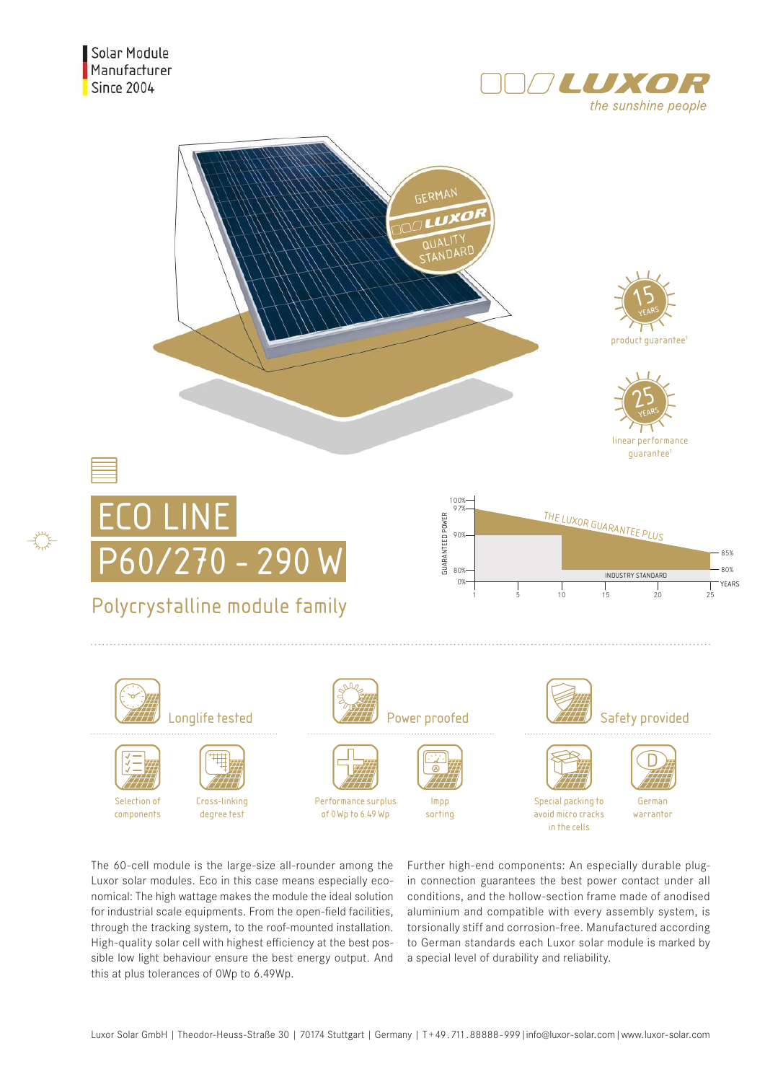





The 60-cell module is the large-size all-rounder among the Luxor solar modules. Eco in this case means especially economical: The high wattage makes the module the ideal solution for industrial scale equipments. From the open-field facilities, through the tracking system, to the roof-mounted installation. High-quality solar cell with highest efficiency at the best possible low light behaviour ensure the best energy output. And this at plus tolerances of 0Wp to 6.49Wp.

Further high-end components: An especially durable plugin connection guarantees the best power contact under all conditions, and the hollow-section frame made of anodised aluminium and compatible with every assembly system, is torsionally stiff and corrosion-free. Manufactured according to German standards each Luxor solar module is marked by a special level of durability and reliability.